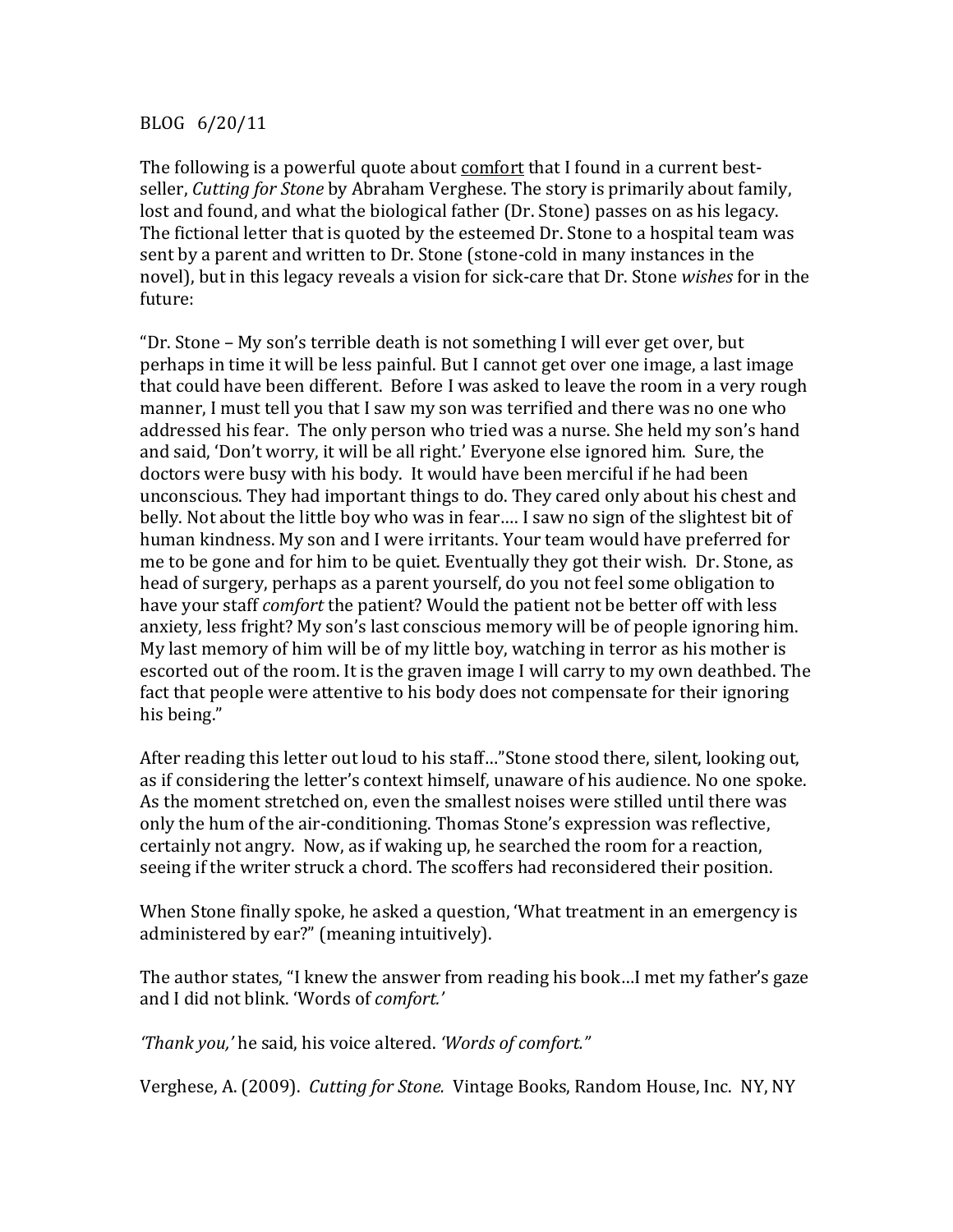## BLOG 6/20/11

The following is a powerful quote about comfort that I found in a current bestseller, *Cutting for Stone* by Abraham Verghese. The story is primarily about family, lost and found, and what the biological father (Dr. Stone) passes on as his legacy. The fictional letter that is quoted by the esteemed Dr. Stone to a hospital team was sent by a parent and written to Dr. Stone (stone-cold in many instances in the novel), but in this legacy reveals a vision for sick-care that Dr. Stone *wishes* for in the future:

"Dr. Stone – My son's terrible death is not something I will ever get over, but perhaps in time it will be less painful. But I cannot get over one image, a last image that could have been different. Before I was asked to leave the room in a very rough manner, I must tell you that I saw my son was terrified and there was no one who addressed his fear. The only person who tried was a nurse. She held my son's hand and said, 'Don't worry, it will be all right.' Everyone else ignored him. Sure, the doctors were busy with his body. It would have been merciful if he had been unconscious. They had important things to do. They cared only about his chest and belly. Not about the little boy who was in fear…. I saw no sign of the slightest bit of human kindness. My son and I were irritants. Your team would have preferred for me to be gone and for him to be quiet. Eventually they got their wish. Dr. Stone, as head of surgery, perhaps as a parent yourself, do you not feel some obligation to have your staff *comfort* the patient? Would the patient not be better off with less anxiety, less fright? My son's last conscious memory will be of people ignoring him. My last memory of him will be of my little boy, watching in terror as his mother is escorted out of the room. It is the graven image I will carry to my own deathbed. The fact that people were attentive to his body does not compensate for their ignoring his being."

After reading this letter out loud to his staff…"Stone stood there, silent, looking out, as if considering the letter's context himself, unaware of his audience. No one spoke. As the moment stretched on, even the smallest noises were stilled until there was only the hum of the air-conditioning. Thomas Stone's expression was reflective, certainly not angry. Now, as if waking up, he searched the room for a reaction, seeing if the writer struck a chord. The scoffers had reconsidered their position.

When Stone finally spoke, he asked a question, 'What treatment in an emergency is administered by ear?" (meaning intuitively).

The author states, "I knew the answer from reading his book…I met my father's gaze and I did not blink. 'Words of *comfort.'* 

*'Thank you,'* he said, his voice altered. *'Words of comfort."*

Verghese, A. (2009). *Cutting for Stone.* Vintage Books, Random House, Inc. NY, NY